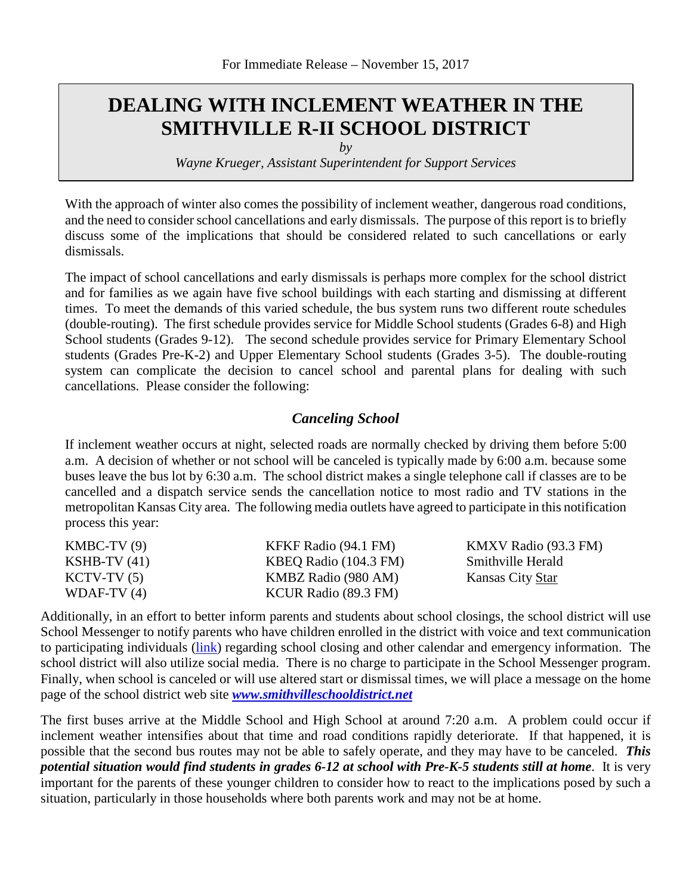# **DEALING WITH INCLEMENT WEATHER IN THE SMITHVILLE R-II SCHOOL DISTRICT**

*by* 

*Wayne Krueger, Assistant Superintendent for Support Services*

With the approach of winter also comes the possibility of inclement weather, dangerous road conditions, and the need to consider school cancellations and early dismissals. The purpose of this report is to briefly discuss some of the implications that should be considered related to such cancellations or early dismissals.

The impact of school cancellations and early dismissals is perhaps more complex for the school district and for families as we again have five school buildings with each starting and dismissing at different times. To meet the demands of this varied schedule, the bus system runs two different route schedules (double-routing). The first schedule provides service for Middle School students (Grades 6-8) and High School students (Grades 9-12). The second schedule provides service for Primary Elementary School students (Grades Pre-K-2) and Upper Elementary School students (Grades 3-5). The double-routing system can complicate the decision to cancel school and parental plans for dealing with such cancellations. Please consider the following:

## *Canceling School*

If inclement weather occurs at night, selected roads are normally checked by driving them before 5:00 a.m. A decision of whether or not school will be canceled is typically made by 6:00 a.m. because some buses leave the bus lot by 6:30 a.m. The school district makes a single telephone call if classes are to be cancelled and a dispatch service sends the cancellation notice to most radio and TV stations in the metropolitan Kansas City area. The following media outlets have agreed to participate in this notification process this year:

| $KMBC-TV(9)$   | KFKF Radio (94.1 FM)  | KMXV Radio (93.3 FM) |
|----------------|-----------------------|----------------------|
| KSHB-TV $(41)$ | KBEQ Radio (104.3 FM) | Smithville Herald    |
| $KCTV-TV(5)$   | KMBZ Radio (980 AM)   | Kansas City Star     |
| WDAF-TV $(4)$  | KCUR Radio (89.3 FM)  |                      |

Additionally, in an effort to better inform parents and students about school closings, the school district will use School Messenger to notify parents who have children enrolled in the district with voice and text communication to participating individuals [\(link\)](https://www.smithvilleschooldistrict.net/site/default.aspx?PageType=3&DomainID=4&ModuleInstanceID=2014&ViewID=6446EE88-D30C-497E-9316-3F8874B3E108&RenderLoc=0&FlexDataID=3702&PageID=1) regarding school closing and other calendar and emergency information. The school district will also utilize social media. There is no charge to participate in the School Messenger program. Finally, when school is canceled or will use altered start or dismissal times, we will place a message on the home page of the school district web site *[www.smithvilleschooldistrict.net](http://www.smithvilleschooldistrict.net/)*

The first buses arrive at the Middle School and High School at around 7:20 a.m. A problem could occur if inclement weather intensifies about that time and road conditions rapidly deteriorate. If that happened, it is possible that the second bus routes may not be able to safely operate, and they may have to be canceled. *This potential situation would find students in grades 6-12 at school with Pre-K-5 students still at home*. It is very important for the parents of these younger children to consider how to react to the implications posed by such a situation, particularly in those households where both parents work and may not be at home.